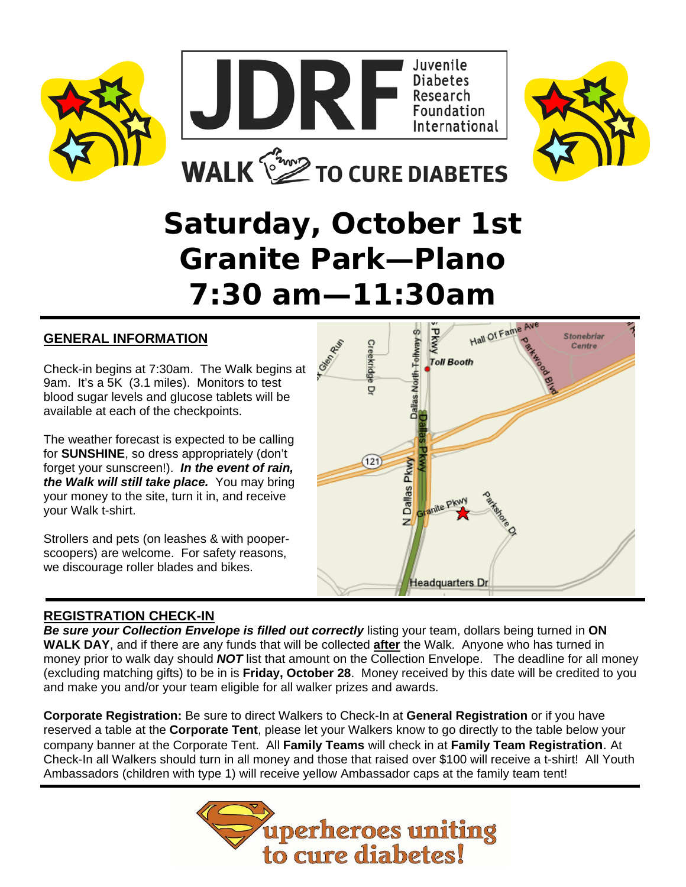





**Stonebriar** 

Centre

# **Saturday, October 1st Granite Park—Plano 7:30 am—11:30am**

REA

Creekridge

ō

#### **GENERAL INFORMATION**

Check-in begins at 7:30am. The Walk begins at 9am. It's a 5K (3.1 miles). Monitors to test blood sugar levels and glucose tablets will be available at each of the checkpoints.

The weather forecast is expected to be calling for **SUNSHINE**, so dress appropriately (don't forget your sunscreen!). *In the event of rain, the Walk will still take place.* You may bring your money to the site, turn it in, and receive your Walk t-shirt.

Strollers and pets (on leashes & with pooperscoopers) are welcome. For safety reasons, we discourage roller blades and bikes.

# Dallas North Tollway S Dallas Pkwy  $\overline{121}$ **Oranite PKW** z **Headquarters Dr**

**DRAN** 

**Toll Booth** 

Hall Of Fame Ave

#### **REGISTRATION CHECK-IN**

*Be sure your Collection Envelope is filled out correctly* listing your team, dollars being turned in **ON WALK DAY**, and if there are any funds that will be collected **after** the Walk. Anyone who has turned in money prior to walk day should *NOT* list that amount on the Collection Envelope. The deadline for all money (excluding matching gifts) to be in is **Friday, October 28**. Money received by this date will be credited to you and make you and/or your team eligible for all walker prizes and awards.

**Corporate Registration:** Be sure to direct Walkers to Check-In at **General Registration** or if you have reserved a table at the **Corporate Tent**, please let your Walkers know to go directly to the table below your company banner at the Corporate Tent. All **Family Teams** will check in at **Family Team Registration**. At Check-In all Walkers should turn in all money and those that raised over \$100 will receive a t-shirt! All Youth Ambassadors (children with type 1) will receive yellow Ambassador caps at the family team tent!

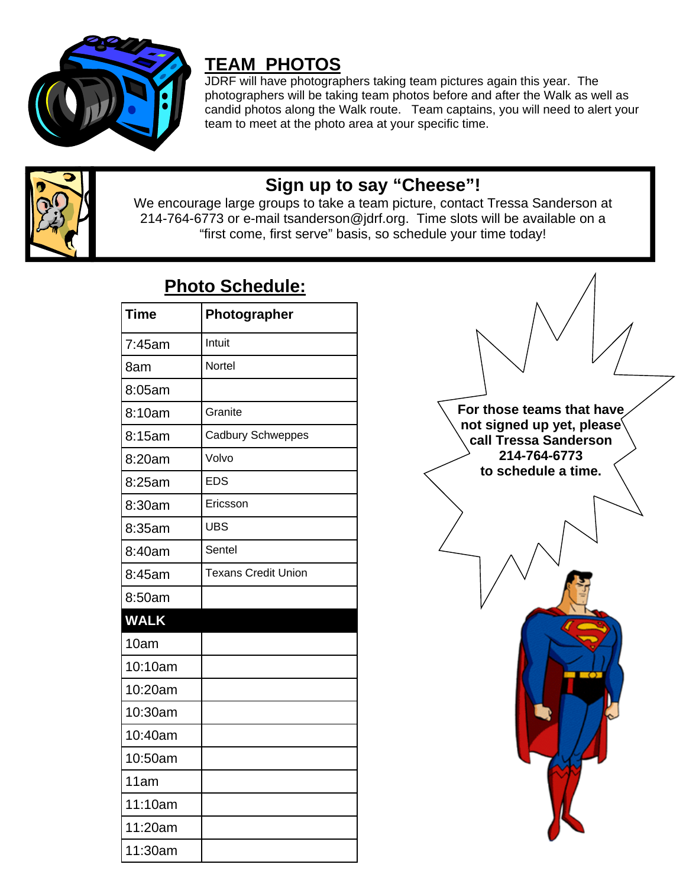

### **TEAM PHOTOS**

JDRF will have photographers taking team pictures again this year. The photographers will be taking team photos before and after the Walk as well as candid photos along the Walk route. Team captains, you will need to alert your team to meet at the photo area at your specific time.



### **Sign up to say "Cheese"!**

We encourage large groups to take a team picture, contact Tressa Sanderson at 214-764-6773 or e-mail tsanderson@jdrf.org. Time slots will be available on a "first come, first serve" basis, so schedule your time today!

| <b>Time</b> | Photographer               |
|-------------|----------------------------|
| 7:45am      | Intuit                     |
| 8am         | Nortel                     |
| 8:05am      |                            |
| 8:10am      | Granite                    |
| 8:15am      | Cadbury Schweppes          |
| 8:20am      | Volvo                      |
| 8:25am      | <b>EDS</b>                 |
| 8:30am      | Ericsson                   |
| 8:35am      | <b>UBS</b>                 |
| 8:40am      | Sentel                     |
| 8:45am      | <b>Texans Credit Union</b> |
| 8:50am      |                            |
| <b>WALK</b> |                            |
| 10am        |                            |
| 10:10am     |                            |
| 10:20am     |                            |
| 10:30am     |                            |
| 10:40am     |                            |
| 10:50am     |                            |
| 11am        |                            |
| 11:10am     |                            |
| 11:20am     |                            |
| 11:30am     |                            |

### **Photo Schedule:**

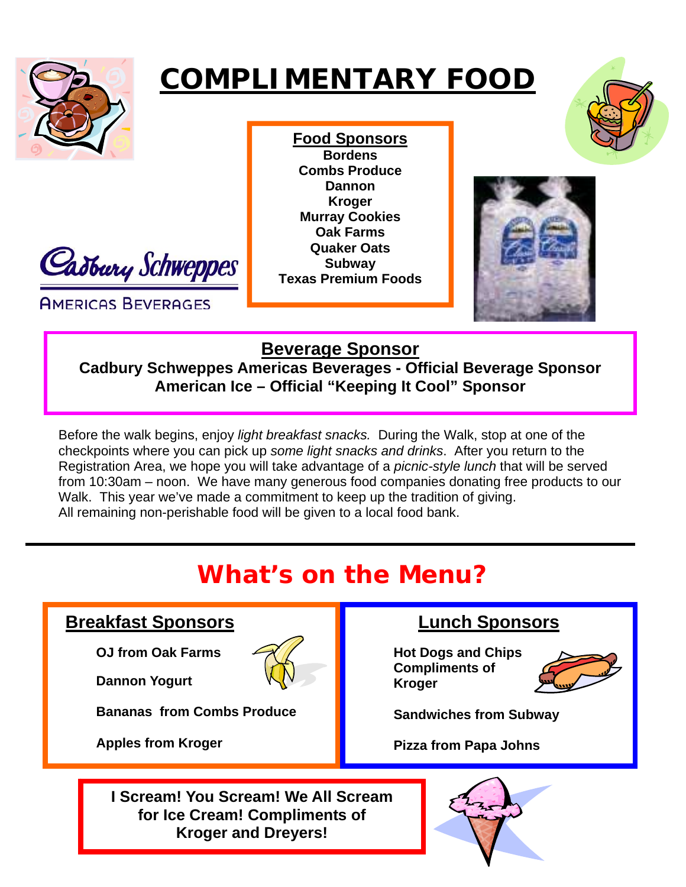

# **COMPLIMENTARY FOOD**



**AMERICAS BEVERAGES** 

**Food Sponsors Bordens Combs Produce Dannon Kroger Murray Cookies Oak Farms Quaker Oats Subway Texas Premium Foods** 



### **Beverage Sponsor**

**Cadbury Schweppes Americas Beverages - Official Beverage Sponsor American Ice – Official "Keeping It Cool" Sponsor** 

Before the walk begins, enjoy *light breakfast snacks.* During the Walk, stop at one of the checkpoints where you can pick up *some light snacks and drinks*. After you return to the Registration Area, we hope you will take advantage of a *picnic-style lunch* that will be served from 10:30am – noon. We have many generous food companies donating free products to our Walk. This year we've made a commitment to keep up the tradition of giving. All remaining non-perishable food will be given to a local food bank.

### **What's on the Menu?**

#### **Breakfast Sponsors**

 **OJ from Oak Farms** 

 **Dannon Yogurt** 



 **Bananas from Combs Produce** 

 **Apples from Kroger**

### **Lunch Sponsors**

**Hot Dogs and Chips Compliments of Kroger** 



 **Sandwiches from Subway** 

 **Pizza from Papa Johns**

**I Scream! You Scream! We All Scream for Ice Cream! Compliments of Kroger and Dreyers!**